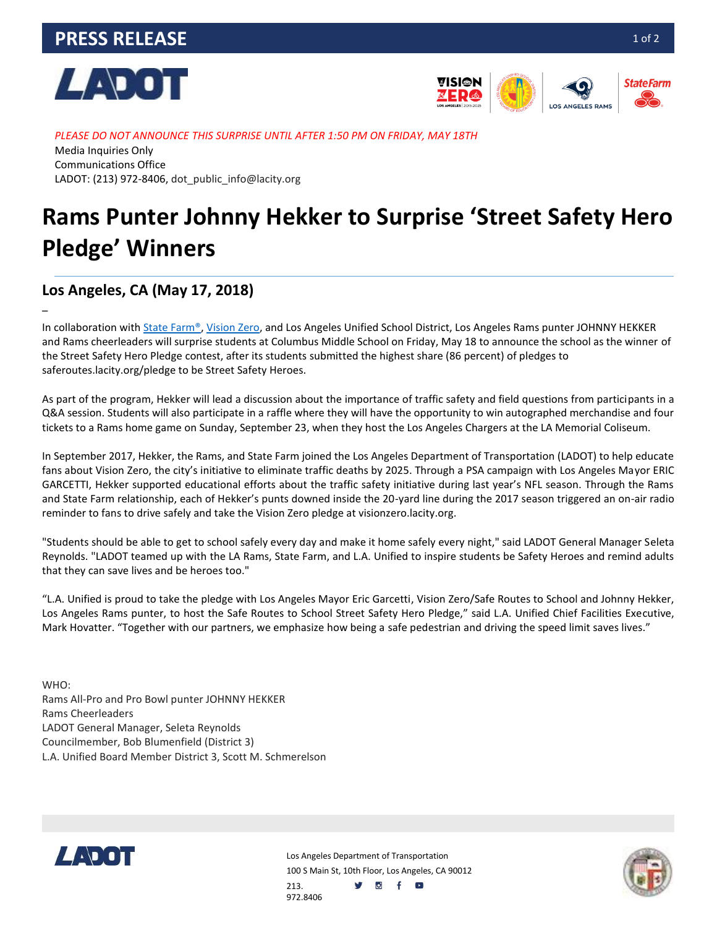



*PLEASE DO NOT ANNOUNCE THIS SURPRISE UNTIL AFTER 1:50 PM ON FRIDAY, MAY 18TH* Media Inquiries Only Communications Office LADOT: (213) 972-8406, dot\_public\_info@lacity.org

# **Rams Punter Johnny Hekker to Surprise 'Street Safety Hero Pledge' Winners**

### **Los Angeles, CA (May 17, 2018)**

–

In collaboration wit[h State Farm®,](https://www.statefarm.com/) [Vision Zero,](http://visionzero.lacity.org/) and Los Angeles Unified School District, Los Angeles Rams punter JOHNNY HEKKER and Rams cheerleaders will surprise students at Columbus Middle School on Friday, May 18 to announce the school as the winner of the Street Safety Hero Pledge contest, after its students submitted the highest share (86 percent) of pledges to saferoutes.lacity.org/pledge to be Street Safety Heroes.

As part of the program, Hekker will lead a discussion about the importance of traffic safety and field questions from participants in a Q&A session. Students will also participate in a raffle where they will have the opportunity to win autographed merchandise and four tickets to a Rams home game on Sunday, September 23, when they host the Los Angeles Chargers at the LA Memorial Coliseum.

In September 2017, Hekker, the Rams, and State Farm joined the Los Angeles Department of Transportation (LADOT) to help educate fans about Vision Zero, the city's initiative to eliminate traffic deaths by 2025. Through a PSA campaign with Los Angeles Mayor ERIC GARCETTI, Hekker supported educational efforts about the traffic safety initiative during last year's NFL season. Through the Rams and State Farm relationship, each of Hekker's punts downed inside the 20-yard line during the 2017 season triggered an on-air radio reminder to fans to drive safely and take the Vision Zero pledge at visionzero.lacity.org.

"Students should be able to get to school safely every day and make it home safely every night," said LADOT General Manager Seleta Reynolds. "LADOT teamed up with the LA Rams, State Farm, and L.A. Unified to inspire students be Safety Heroes and remind adults that they can save lives and be heroes too."

"L.A. Unified is proud to take the pledge with Los Angeles Mayor Eric Garcetti, Vision Zero/Safe Routes to School and Johnny Hekker, Los Angeles Rams punter, to host the Safe Routes to School Street Safety Hero Pledge," said L.A. Unified Chief Facilities Executive, Mark Hovatter. "Together with our partners, we emphasize how being a safe pedestrian and driving the speed limit saves lives."

WHO: Rams All-Pro and Pro Bowl punter JOHNNY HEKKER Rams Cheerleaders LADOT General Manager, Seleta Reynolds Councilmember, Bob Blumenfield (District 3) L.A. Unified Board Member District 3, Scott M. Schmerelson



Los Angeles Department of Transportation 100 S Main St, 10th Floor, Los Angeles, CA 90012 y of o 213. 972.8406